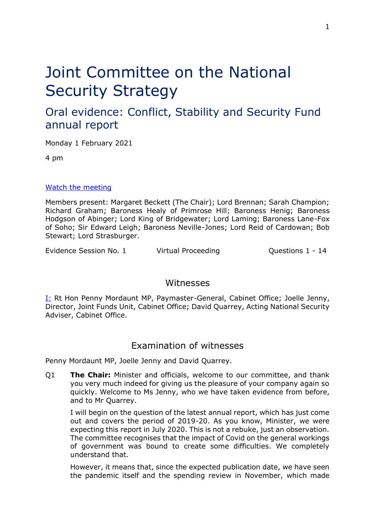# Joint Committee on the National Security Strategy

## Oral evidence: Conflict, Stability and Security Fund annual report

Monday 1 February 2021

4 pm

## [Watch the meeting](https://parliamentlive.tv/Event/Index/f6d139bb-44d1-4463-8280-e924720bae9d)

Members present: Margaret Beckett (The Chair); Lord Brennan; Sarah Champion; Richard Graham; Baroness Healy of Primrose Hill; Baroness Henig; Baroness Hodgson of Abinger; Lord King of Bridgewater; Lord Laming; Baroness Lane-Fox of Soho; Sir Edward Leigh; Baroness Neville-Jones; Lord Reid of Cardowan; Bob Stewart; Lord Strasburger.

Evidence Session No. 1 Virtual Proceeding Cuestions 1 - 14

## Witnesses

I: Rt Hon Penny Mordaunt MP, Paymaster-General, Cabinet Office; Joelle Jenny, Director, Joint Funds Unit, Cabinet Office; David Quarrey, Acting National Security Adviser, Cabinet Office.

## Examination of witnesses

Penny Mordaunt MP, Joelle Jenny and David Quarrey.

Q1 **The Chair:** Minister and officials, welcome to our committee, and thank you very much indeed for giving us the pleasure of your company again so quickly. Welcome to Ms Jenny, who we have taken evidence from before, and to Mr Quarrey.

I will begin on the question of the latest annual report, which has just come out and covers the period of 2019-20. As you know, Minister, we were expecting this report in July 2020. This is not a rebuke, just an observation. The committee recognises that the impact of Covid on the general workings of government was bound to create some difficulties. We completely understand that.

However, it means that, since the expected publication date, we have seen the pandemic itself and the spending review in November, which made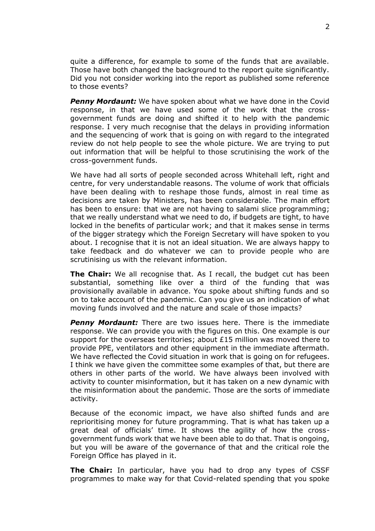quite a difference, for example to some of the funds that are available. Those have both changed the background to the report quite significantly. Did you not consider working into the report as published some reference to those events?

**Penny Mordaunt:** We have spoken about what we have done in the Covid response, in that we have used some of the work that the crossgovernment funds are doing and shifted it to help with the pandemic response. I very much recognise that the delays in providing information and the sequencing of work that is going on with regard to the integrated review do not help people to see the whole picture. We are trying to put out information that will be helpful to those scrutinising the work of the cross-government funds.

We have had all sorts of people seconded across Whitehall left, right and centre, for very understandable reasons. The volume of work that officials have been dealing with to reshape those funds, almost in real time as decisions are taken by Ministers, has been considerable. The main effort has been to ensure: that we are not having to salami slice programming; that we really understand what we need to do, if budgets are tight, to have locked in the benefits of particular work; and that it makes sense in terms of the bigger strategy which the Foreign Secretary will have spoken to you about. I recognise that it is not an ideal situation. We are always happy to take feedback and do whatever we can to provide people who are scrutinising us with the relevant information.

**The Chair:** We all recognise that. As I recall, the budget cut has been substantial, something like over a third of the funding that was provisionally available in advance. You spoke about shifting funds and so on to take account of the pandemic. Can you give us an indication of what moving funds involved and the nature and scale of those impacts?

*Penny Mordaunt:* There are two issues here. There is the immediate response. We can provide you with the figures on this. One example is our support for the overseas territories; about £15 million was moved there to provide PPE, ventilators and other equipment in the immediate aftermath. We have reflected the Covid situation in work that is going on for refugees. I think we have given the committee some examples of that, but there are others in other parts of the world. We have always been involved with activity to counter misinformation, but it has taken on a new dynamic with the misinformation about the pandemic. Those are the sorts of immediate activity.

Because of the economic impact, we have also shifted funds and are reprioritising money for future programming. That is what has taken up a great deal of officials' time. It shows the agility of how the crossgovernment funds work that we have been able to do that. That is ongoing, but you will be aware of the governance of that and the critical role the Foreign Office has played in it.

**The Chair:** In particular, have you had to drop any types of CSSF programmes to make way for that Covid-related spending that you spoke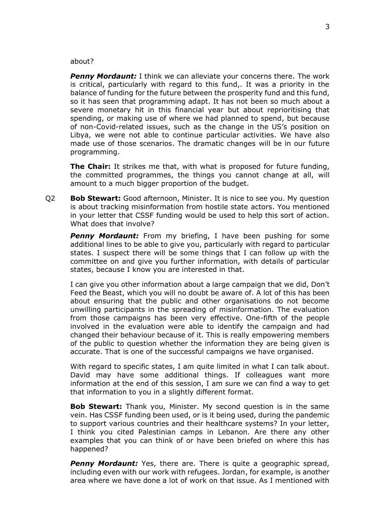#### about?

*Penny Mordaunt:* I think we can alleviate your concerns there. The work is critical, particularly with regard to this fund,. It was a priority in the balance of funding for the future between the prosperity fund and this fund, so it has seen that programming adapt. It has not been so much about a severe monetary hit in this financial year but about reprioritising that spending, or making use of where we had planned to spend, but because of non-Covid-related issues, such as the change in the US's position on Libya, we were not able to continue particular activities. We have also made use of those scenarios. The dramatic changes will be in our future programming.

**The Chair:** It strikes me that, with what is proposed for future funding, the committed programmes, the things you cannot change at all, will amount to a much bigger proportion of the budget.

Q2 **Bob Stewart:** Good afternoon, Minister. It is nice to see you. My question is about tracking misinformation from hostile state actors. You mentioned in your letter that CSSF funding would be used to help this sort of action. What does that involve?

**Penny Mordaunt:** From my briefing, I have been pushing for some additional lines to be able to give you, particularly with regard to particular states. I suspect there will be some things that I can follow up with the committee on and give you further information, with details of particular states, because I know you are interested in that.

I can give you other information about a large campaign that we did, Don't Feed the Beast, which you will no doubt be aware of. A lot of this has been about ensuring that the public and other organisations do not become unwilling participants in the spreading of misinformation. The evaluation from those campaigns has been very effective. One-fifth of the people involved in the evaluation were able to identify the campaign and had changed their behaviour because of it. This is really empowering members of the public to question whether the information they are being given is accurate. That is one of the successful campaigns we have organised.

With regard to specific states, I am quite limited in what I can talk about. David may have some additional things. If colleagues want more information at the end of this session, I am sure we can find a way to get that information to you in a slightly different format.

**Bob Stewart:** Thank you, Minister. My second question is in the same vein. Has CSSF funding been used, or is it being used, during the pandemic to support various countries and their healthcare systems? In your letter, I think you cited Palestinian camps in Lebanon. Are there any other examples that you can think of or have been briefed on where this has happened?

**Penny Mordaunt:** Yes, there are. There is quite a geographic spread, including even with our work with refugees. Jordan, for example, is another area where we have done a lot of work on that issue. As I mentioned with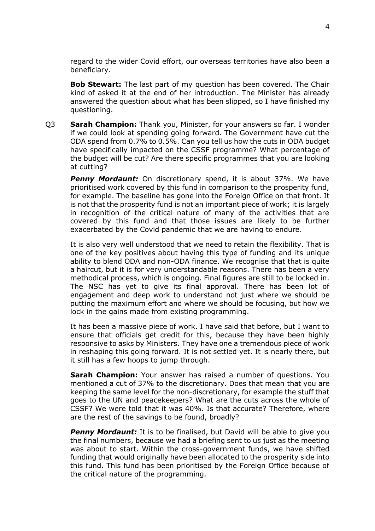regard to the wider Covid effort, our overseas territories have also been a beneficiary.

**Bob Stewart:** The last part of my question has been covered. The Chair kind of asked it at the end of her introduction. The Minister has already answered the question about what has been slipped, so I have finished my questioning.

Q3 **Sarah Champion:** Thank you, Minister, for your answers so far. I wonder if we could look at spending going forward. The Government have cut the ODA spend from 0.7% to 0.5%. Can you tell us how the cuts in ODA budget have specifically impacted on the CSSF programme? What percentage of the budget will be cut? Are there specific programmes that you are looking at cutting?

*Penny Mordaunt:* On discretionary spend, it is about 37%. We have prioritised work covered by this fund in comparison to the prosperity fund, for example. The baseline has gone into the Foreign Office on that front. It is not that the prosperity fund is not an important piece of work; it is largely in recognition of the critical nature of many of the activities that are covered by this fund and that those issues are likely to be further exacerbated by the Covid pandemic that we are having to endure.

It is also very well understood that we need to retain the flexibility. That is one of the key positives about having this type of funding and its unique ability to blend ODA and non-ODA finance. We recognise that that is quite a haircut, but it is for very understandable reasons. There has been a very methodical process, which is ongoing. Final figures are still to be locked in. The NSC has yet to give its final approval. There has been lot of engagement and deep work to understand not just where we should be putting the maximum effort and where we should be focusing, but how we lock in the gains made from existing programming.

It has been a massive piece of work. I have said that before, but I want to ensure that officials get credit for this, because they have been highly responsive to asks by Ministers. They have one a tremendous piece of work in reshaping this going forward. It is not settled yet. It is nearly there, but it still has a few hoops to jump through.

**Sarah Champion:** Your answer has raised a number of questions. You mentioned a cut of 37% to the discretionary. Does that mean that you are keeping the same level for the non-discretionary, for example the stuff that goes to the UN and peacekeepers? What are the cuts across the whole of CSSF? We were told that it was 40%. Is that accurate? Therefore, where are the rest of the savings to be found, broadly?

**Penny Mordaunt:** It is to be finalised, but David will be able to give you the final numbers, because we had a briefing sent to us just as the meeting was about to start. Within the cross-government funds, we have shifted funding that would originally have been allocated to the prosperity side into this fund. This fund has been prioritised by the Foreign Office because of the critical nature of the programming.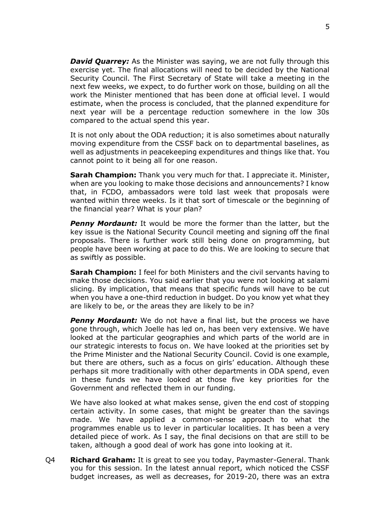*David Quarrey:* As the Minister was saying, we are not fully through this exercise yet. The final allocations will need to be decided by the National Security Council. The First Secretary of State will take a meeting in the next few weeks, we expect, to do further work on those, building on all the work the Minister mentioned that has been done at official level. I would estimate, when the process is concluded, that the planned expenditure for next year will be a percentage reduction somewhere in the low 30s compared to the actual spend this year.

It is not only about the ODA reduction; it is also sometimes about naturally moving expenditure from the CSSF back on to departmental baselines, as well as adjustments in peacekeeping expenditures and things like that. You cannot point to it being all for one reason.

**Sarah Champion:** Thank you very much for that. I appreciate it. Minister, when are you looking to make those decisions and announcements? I know that, in FCDO, ambassadors were told last week that proposals were wanted within three weeks. Is it that sort of timescale or the beginning of the financial year? What is your plan?

**Penny Mordaunt:** It would be more the former than the latter, but the key issue is the National Security Council meeting and signing off the final proposals. There is further work still being done on programming, but people have been working at pace to do this. We are looking to secure that as swiftly as possible.

**Sarah Champion:** I feel for both Ministers and the civil servants having to make those decisions. You said earlier that you were not looking at salami slicing. By implication, that means that specific funds will have to be cut when you have a one-third reduction in budget. Do you know yet what they are likely to be, or the areas they are likely to be in?

**Penny Mordaunt:** We do not have a final list, but the process we have gone through, which Joelle has led on, has been very extensive. We have looked at the particular geographies and which parts of the world are in our strategic interests to focus on. We have looked at the priorities set by the Prime Minister and the National Security Council. Covid is one example, but there are others, such as a focus on girls' education. Although these perhaps sit more traditionally with other departments in ODA spend, even in these funds we have looked at those five key priorities for the Government and reflected them in our funding.

We have also looked at what makes sense, given the end cost of stopping certain activity. In some cases, that might be greater than the savings made. We have applied a common-sense approach to what the programmes enable us to lever in particular localities. It has been a very detailed piece of work. As I say, the final decisions on that are still to be taken, although a good deal of work has gone into looking at it.

Q4 **Richard Graham:** It is great to see you today, Paymaster-General. Thank you for this session. In the latest annual report, which noticed the CSSF budget increases, as well as decreases, for 2019-20, there was an extra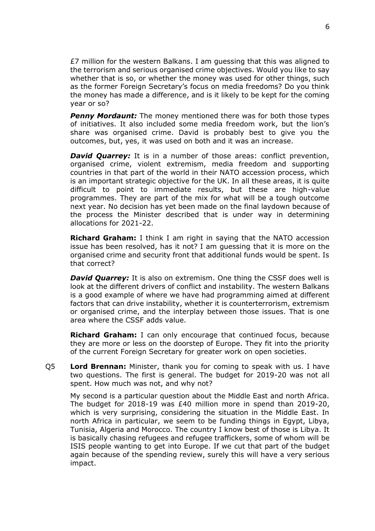£7 million for the western Balkans. I am guessing that this was aligned to the terrorism and serious organised crime objectives. Would you like to say whether that is so, or whether the money was used for other things, such as the former Foreign Secretary's focus on media freedoms? Do you think the money has made a difference, and is it likely to be kept for the coming year or so?

**Penny Mordaunt:** The money mentioned there was for both those types of initiatives. It also included some media freedom work, but the lion's share was organised crime. David is probably best to give you the outcomes, but, yes, it was used on both and it was an increase.

**David Quarrey:** It is in a number of those areas: conflict prevention, organised crime, violent extremism, media freedom and supporting countries in that part of the world in their NATO accession process, which is an important strategic objective for the UK. In all these areas, it is quite difficult to point to immediate results, but these are high-value programmes. They are part of the mix for what will be a tough outcome next year. No decision has yet been made on the final laydown because of the process the Minister described that is under way in determining allocations for 2021-22.

**Richard Graham:** I think I am right in saying that the NATO accession issue has been resolved, has it not? I am guessing that it is more on the organised crime and security front that additional funds would be spent. Is that correct?

**David Quarrey:** It is also on extremism. One thing the CSSF does well is look at the different drivers of conflict and instability. The western Balkans is a good example of where we have had programming aimed at different factors that can drive instability, whether it is counterterrorism, extremism or organised crime, and the interplay between those issues. That is one area where the CSSF adds value.

**Richard Graham:** I can only encourage that continued focus, because they are more or less on the doorstep of Europe. They fit into the priority of the current Foreign Secretary for greater work on open societies.

Q5 **Lord Brennan:** Minister, thank you for coming to speak with us. I have two questions. The first is general. The budget for 2019-20 was not all spent. How much was not, and why not?

My second is a particular question about the Middle East and north Africa. The budget for 2018-19 was £40 million more in spend than 2019-20, which is very surprising, considering the situation in the Middle East. In north Africa in particular, we seem to be funding things in Egypt, Libya, Tunisia, Algeria and Morocco. The country I know best of those is Libya. It is basically chasing refugees and refugee traffickers, some of whom will be ISIS people wanting to get into Europe. If we cut that part of the budget again because of the spending review, surely this will have a very serious impact.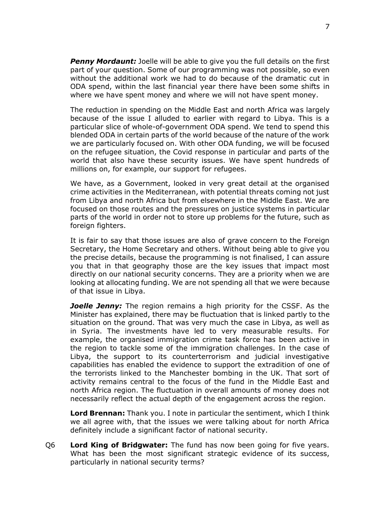**Penny Mordaunt:** Joelle will be able to give you the full details on the first part of your question. Some of our programming was not possible, so even without the additional work we had to do because of the dramatic cut in ODA spend, within the last financial year there have been some shifts in where we have spent money and where we will not have spent money.

The reduction in spending on the Middle East and north Africa was largely because of the issue I alluded to earlier with regard to Libya. This is a particular slice of whole-of-government ODA spend. We tend to spend this blended ODA in certain parts of the world because of the nature of the work we are particularly focused on. With other ODA funding, we will be focused on the refugee situation, the Covid response in particular and parts of the world that also have these security issues. We have spent hundreds of millions on, for example, our support for refugees.

We have, as a Government, looked in very great detail at the organised crime activities in the Mediterranean, with potential threats coming not just from Libya and north Africa but from elsewhere in the Middle East. We are focused on those routes and the pressures on justice systems in particular parts of the world in order not to store up problems for the future, such as foreign fighters.

It is fair to say that those issues are also of grave concern to the Foreign Secretary, the Home Secretary and others. Without being able to give you the precise details, because the programming is not finalised, I can assure you that in that geography those are the key issues that impact most directly on our national security concerns. They are a priority when we are looking at allocating funding. We are not spending all that we were because of that issue in Libya.

*Joelle Jenny:* The region remains a high priority for the CSSF. As the Minister has explained, there may be fluctuation that is linked partly to the situation on the ground. That was very much the case in Libya, as well as in Syria. The investments have led to very measurable results. For example, the organised immigration crime task force has been active in the region to tackle some of the immigration challenges. In the case of Libya, the support to its counterterrorism and judicial investigative capabilities has enabled the evidence to support the extradition of one of the terrorists linked to the Manchester bombing in the UK. That sort of activity remains central to the focus of the fund in the Middle East and north Africa region. The fluctuation in overall amounts of money does not necessarily reflect the actual depth of the engagement across the region.

**Lord Brennan:** Thank you. I note in particular the sentiment, which I think we all agree with, that the issues we were talking about for north Africa definitely include a significant factor of national security.

Q6 **Lord King of Bridgwater:** The fund has now been going for five years. What has been the most significant strategic evidence of its success, particularly in national security terms?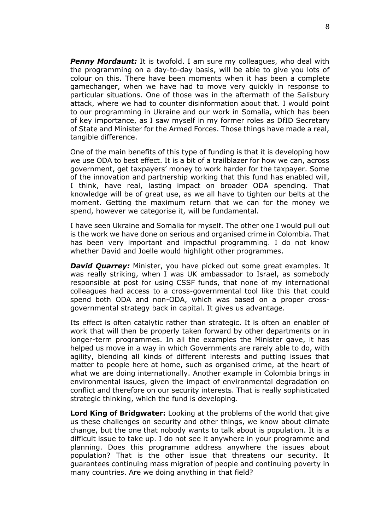**Penny Mordaunt:** It is twofold. I am sure my colleagues, who deal with the programming on a day-to-day basis, will be able to give you lots of colour on this. There have been moments when it has been a complete gamechanger, when we have had to move very quickly in response to particular situations. One of those was in the aftermath of the Salisbury attack, where we had to counter disinformation about that. I would point to our programming in Ukraine and our work in Somalia, which has been of key importance, as I saw myself in my former roles as DfID Secretary of State and Minister for the Armed Forces. Those things have made a real, tangible difference.

One of the main benefits of this type of funding is that it is developing how we use ODA to best effect. It is a bit of a trailblazer for how we can, across government, get taxpayers' money to work harder for the taxpayer. Some of the innovation and partnership working that this fund has enabled will, I think, have real, lasting impact on broader ODA spending. That knowledge will be of great use, as we all have to tighten our belts at the moment. Getting the maximum return that we can for the money we spend, however we categorise it, will be fundamental.

I have seen Ukraine and Somalia for myself. The other one I would pull out is the work we have done on serious and organised crime in Colombia. That has been very important and impactful programming. I do not know whether David and Joelle would highlight other programmes.

*David Quarrey:* Minister, you have picked out some great examples. It was really striking, when I was UK ambassador to Israel, as somebody responsible at post for using CSSF funds, that none of my international colleagues had access to a cross-governmental tool like this that could spend both ODA and non-ODA, which was based on a proper crossgovernmental strategy back in capital. It gives us advantage.

Its effect is often catalytic rather than strategic. It is often an enabler of work that will then be properly taken forward by other departments or in longer-term programmes. In all the examples the Minister gave, it has helped us move in a way in which Governments are rarely able to do, with agility, blending all kinds of different interests and putting issues that matter to people here at home, such as organised crime, at the heart of what we are doing internationally. Another example in Colombia brings in environmental issues, given the impact of environmental degradation on conflict and therefore on our security interests. That is really sophisticated strategic thinking, which the fund is developing.

**Lord King of Bridgwater:** Looking at the problems of the world that give us these challenges on security and other things, we know about climate change, but the one that nobody wants to talk about is population. It is a difficult issue to take up. I do not see it anywhere in your programme and planning. Does this programme address anywhere the issues about population? That is the other issue that threatens our security. It guarantees continuing mass migration of people and continuing poverty in many countries. Are we doing anything in that field?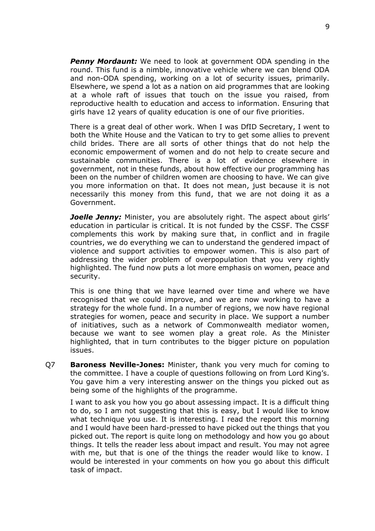*Penny Mordaunt:* We need to look at government ODA spending in the round. This fund is a nimble, innovative vehicle where we can blend ODA and non-ODA spending, working on a lot of security issues, primarily. Elsewhere, we spend a lot as a nation on aid programmes that are looking at a whole raft of issues that touch on the issue you raised, from reproductive health to education and access to information. Ensuring that girls have 12 years of quality education is one of our five priorities.

There is a great deal of other work. When I was DfID Secretary, I went to both the White House and the Vatican to try to get some allies to prevent child brides. There are all sorts of other things that do not help the economic empowerment of women and do not help to create secure and sustainable communities. There is a lot of evidence elsewhere in government, not in these funds, about how effective our programming has been on the number of children women are choosing to have. We can give you more information on that. It does not mean, just because it is not necessarily this money from this fund, that we are not doing it as a Government.

*Joelle Jenny:* Minister, you are absolutely right. The aspect about girls' education in particular is critical. It is not funded by the CSSF. The CSSF complements this work by making sure that, in conflict and in fragile countries, we do everything we can to understand the gendered impact of violence and support activities to empower women. This is also part of addressing the wider problem of overpopulation that you very rightly highlighted. The fund now puts a lot more emphasis on women, peace and security.

This is one thing that we have learned over time and where we have recognised that we could improve, and we are now working to have a strategy for the whole fund. In a number of regions, we now have regional strategies for women, peace and security in place. We support a number of initiatives, such as a network of Commonwealth mediator women, because we want to see women play a great role. As the Minister highlighted, that in turn contributes to the bigger picture on population issues.

Q7 **Baroness Neville-Jones:** Minister, thank you very much for coming to the committee. I have a couple of questions following on from Lord King's. You gave him a very interesting answer on the things you picked out as being some of the highlights of the programme.

I want to ask you how you go about assessing impact. It is a difficult thing to do, so I am not suggesting that this is easy, but I would like to know what technique you use. It is interesting. I read the report this morning and I would have been hard-pressed to have picked out the things that you picked out. The report is quite long on methodology and how you go about things. It tells the reader less about impact and result. You may not agree with me, but that is one of the things the reader would like to know. I would be interested in your comments on how you go about this difficult task of impact.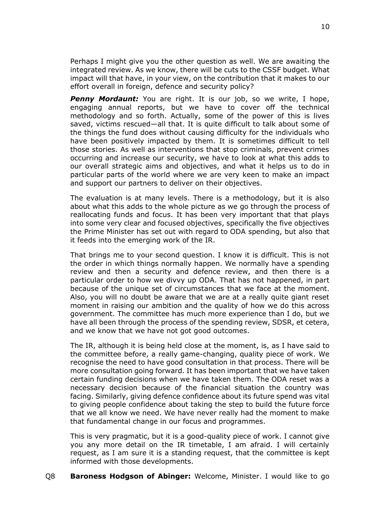Perhaps I might give you the other question as well. We are awaiting the integrated review. As we know, there will be cuts to the CSSF budget. What impact will that have, in your view, on the contribution that it makes to our effort overall in foreign, defence and security policy?

**Penny Mordaunt:** You are right. It is our job, so we write, I hope, engaging annual reports, but we have to cover off the technical methodology and so forth. Actually, some of the power of this is lives saved, victims rescued—all that. It is quite difficult to talk about some of the things the fund does without causing difficulty for the individuals who have been positively impacted by them. It is sometimes difficult to tell those stories. As well as interventions that stop criminals, prevent crimes occurring and increase our security, we have to look at what this adds to our overall strategic aims and objectives, and what it helps us to do in particular parts of the world where we are very keen to make an impact and support our partners to deliver on their objectives.

The evaluation is at many levels. There is a methodology, but it is also about what this adds to the whole picture as we go through the process of reallocating funds and focus. It has been very important that that plays into some very clear and focused objectives, specifically the five objectives the Prime Minister has set out with regard to ODA spending, but also that it feeds into the emerging work of the IR.

That brings me to your second question. I know it is difficult. This is not the order in which things normally happen. We normally have a spending review and then a security and defence review, and then there is a particular order to how we divvy up ODA. That has not happened, in part because of the unique set of circumstances that we face at the moment. Also, you will no doubt be aware that we are at a really quite giant reset moment in raising our ambition and the quality of how we do this across government. The committee has much more experience than I do, but we have all been through the process of the spending review, SDSR, et cetera, and we know that we have not got good outcomes.

The IR, although it is being held close at the moment, is, as I have said to the committee before, a really game-changing, quality piece of work. We recognise the need to have good consultation in that process. There will be more consultation going forward. It has been important that we have taken certain funding decisions when we have taken them. The ODA reset was a necessary decision because of the financial situation the country was facing. Similarly, giving defence confidence about its future spend was vital to giving people confidence about taking the step to build the future force that we all know we need. We have never really had the moment to make that fundamental change in our focus and programmes.

This is very pragmatic, but it is a good-quality piece of work. I cannot give you any more detail on the IR timetable, I am afraid. I will certainly request, as I am sure it is a standing request, that the committee is kept informed with those developments.

## Q8 **Baroness Hodgson of Abinger:** Welcome, Minister. I would like to go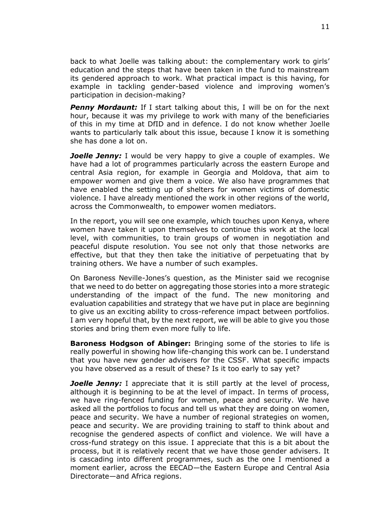back to what Joelle was talking about: the complementary work to girls' education and the steps that have been taken in the fund to mainstream its gendered approach to work. What practical impact is this having, for example in tackling gender-based violence and improving women's participation in decision-making?

*Penny Mordaunt:* If I start talking about this, I will be on for the next hour, because it was my privilege to work with many of the beneficiaries of this in my time at DfID and in defence. I do not know whether Joelle wants to particularly talk about this issue, because I know it is something she has done a lot on.

*Joelle Jenny:* I would be very happy to give a couple of examples. We have had a lot of programmes particularly across the eastern Europe and central Asia region, for example in Georgia and Moldova, that aim to empower women and give them a voice. We also have programmes that have enabled the setting up of shelters for women victims of domestic violence. I have already mentioned the work in other regions of the world, across the Commonwealth, to empower women mediators.

In the report, you will see one example, which touches upon Kenya, where women have taken it upon themselves to continue this work at the local level, with communities, to train groups of women in negotiation and peaceful dispute resolution. You see not only that those networks are effective, but that they then take the initiative of perpetuating that by training others. We have a number of such examples.

On Baroness Neville-Jones's question, as the Minister said we recognise that we need to do better on aggregating those stories into a more strategic understanding of the impact of the fund. The new monitoring and evaluation capabilities and strategy that we have put in place are beginning to give us an exciting ability to cross-reference impact between portfolios. I am very hopeful that, by the next report, we will be able to give you those stories and bring them even more fully to life.

**Baroness Hodgson of Abinger:** Bringing some of the stories to life is really powerful in showing how life-changing this work can be. I understand that you have new gender advisers for the CSSF. What specific impacts you have observed as a result of these? Is it too early to say yet?

*Joelle Jenny:* I appreciate that it is still partly at the level of process, although it is beginning to be at the level of impact. In terms of process, we have ring-fenced funding for women, peace and security. We have asked all the portfolios to focus and tell us what they are doing on women, peace and security. We have a number of regional strategies on women, peace and security. We are providing training to staff to think about and recognise the gendered aspects of conflict and violence. We will have a cross-fund strategy on this issue. I appreciate that this is a bit about the process, but it is relatively recent that we have those gender advisers. It is cascading into different programmes, such as the one I mentioned a moment earlier, across the EECAD—the Eastern Europe and Central Asia Directorate—and Africa regions.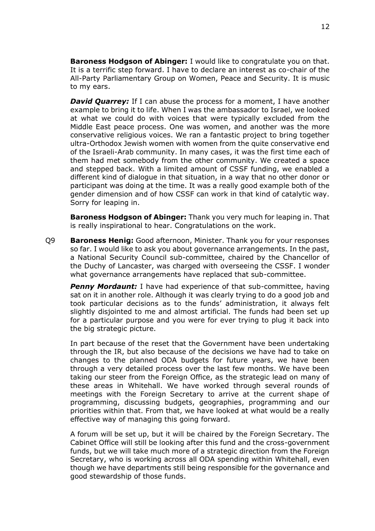**Baroness Hodgson of Abinger:** I would like to congratulate you on that. It is a terrific step forward. I have to declare an interest as co-chair of the All-Party Parliamentary Group on Women, Peace and Security. It is music to my ears.

*David Quarrey:* If I can abuse the process for a moment, I have another example to bring it to life. When I was the ambassador to Israel, we looked at what we could do with voices that were typically excluded from the Middle East peace process. One was women, and another was the more conservative religious voices. We ran a fantastic project to bring together ultra-Orthodox Jewish women with women from the quite conservative end of the Israeli-Arab community. In many cases, it was the first time each of them had met somebody from the other community. We created a space and stepped back. With a limited amount of CSSF funding, we enabled a different kind of dialogue in that situation, in a way that no other donor or participant was doing at the time. It was a really good example both of the gender dimension and of how CSSF can work in that kind of catalytic way. Sorry for leaping in.

**Baroness Hodgson of Abinger:** Thank you very much for leaping in. That is really inspirational to hear. Congratulations on the work.

Q9 **Baroness Henig:** Good afternoon, Minister. Thank you for your responses so far. I would like to ask you about governance arrangements. In the past, a National Security Council sub-committee, chaired by the Chancellor of the Duchy of Lancaster, was charged with overseeing the CSSF. I wonder what governance arrangements have replaced that sub-committee.

**Penny Mordaunt:** I have had experience of that sub-committee, having sat on it in another role. Although it was clearly trying to do a good job and took particular decisions as to the funds' administration, it always felt slightly disjointed to me and almost artificial. The funds had been set up for a particular purpose and you were for ever trying to plug it back into the big strategic picture.

In part because of the reset that the Government have been undertaking through the IR, but also because of the decisions we have had to take on changes to the planned ODA budgets for future years, we have been through a very detailed process over the last few months. We have been taking our steer from the Foreign Office, as the strategic lead on many of these areas in Whitehall. We have worked through several rounds of meetings with the Foreign Secretary to arrive at the current shape of programming, discussing budgets, geographies, programming and our priorities within that. From that, we have looked at what would be a really effective way of managing this going forward.

A forum will be set up, but it will be chaired by the Foreign Secretary. The Cabinet Office will still be looking after this fund and the cross-government funds, but we will take much more of a strategic direction from the Foreign Secretary, who is working across all ODA spending within Whitehall, even though we have departments still being responsible for the governance and good stewardship of those funds.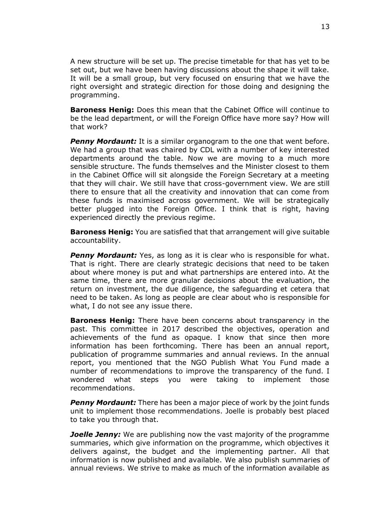A new structure will be set up. The precise timetable for that has yet to be set out, but we have been having discussions about the shape it will take. It will be a small group, but very focused on ensuring that we have the right oversight and strategic direction for those doing and designing the programming.

**Baroness Henig:** Does this mean that the Cabinet Office will continue to be the lead department, or will the Foreign Office have more say? How will that work?

**Penny Mordaunt:** It is a similar organogram to the one that went before. We had a group that was chaired by CDL with a number of key interested departments around the table. Now we are moving to a much more sensible structure. The funds themselves and the Minister closest to them in the Cabinet Office will sit alongside the Foreign Secretary at a meeting that they will chair. We still have that cross-government view. We are still there to ensure that all the creativity and innovation that can come from these funds is maximised across government. We will be strategically better plugged into the Foreign Office. I think that is right, having experienced directly the previous regime.

**Baroness Henig:** You are satisfied that that arrangement will give suitable accountability.

**Penny Mordaunt:** Yes, as long as it is clear who is responsible for what. That is right. There are clearly strategic decisions that need to be taken about where money is put and what partnerships are entered into. At the same time, there are more granular decisions about the evaluation, the return on investment, the due diligence, the safeguarding et cetera that need to be taken. As long as people are clear about who is responsible for what, I do not see any issue there.

**Baroness Henig:** There have been concerns about transparency in the past. This committee in 2017 described the objectives, operation and achievements of the fund as opaque. I know that since then more information has been forthcoming. There has been an annual report, publication of programme summaries and annual reviews. In the annual report, you mentioned that the NGO Publish What You Fund made a number of recommendations to improve the transparency of the fund. I wondered what steps you were taking to implement those recommendations.

**Penny Mordaunt:** There has been a major piece of work by the joint funds unit to implement those recommendations. Joelle is probably best placed to take you through that.

*Joelle Jenny:* We are publishing now the vast majority of the programme summaries, which give information on the programme, which objectives it delivers against, the budget and the implementing partner. All that information is now published and available. We also publish summaries of annual reviews. We strive to make as much of the information available as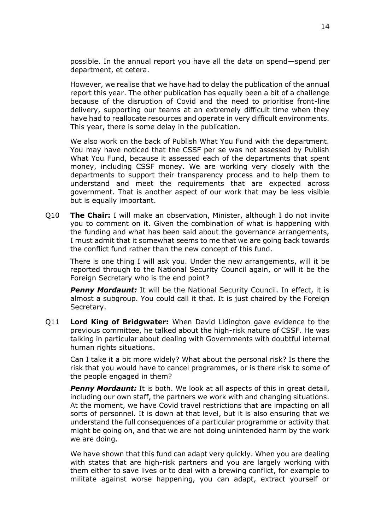possible. In the annual report you have all the data on spend—spend per department, et cetera.

However, we realise that we have had to delay the publication of the annual report this year. The other publication has equally been a bit of a challenge because of the disruption of Covid and the need to prioritise front-line delivery, supporting our teams at an extremely difficult time when they have had to reallocate resources and operate in very difficult environments. This year, there is some delay in the publication.

We also work on the back of Publish What You Fund with the department. You may have noticed that the CSSF per se was not assessed by Publish What You Fund, because it assessed each of the departments that spent money, including CSSF money. We are working very closely with the departments to support their transparency process and to help them to understand and meet the requirements that are expected across government. That is another aspect of our work that may be less visible but is equally important.

Q10 **The Chair:** I will make an observation, Minister, although I do not invite you to comment on it. Given the combination of what is happening with the funding and what has been said about the governance arrangements, I must admit that it somewhat seems to me that we are going back towards the conflict fund rather than the new concept of this fund.

There is one thing I will ask you. Under the new arrangements, will it be reported through to the National Security Council again, or will it be the Foreign Secretary who is the end point?

**Penny Mordaunt:** It will be the National Security Council. In effect, it is almost a subgroup. You could call it that. It is just chaired by the Foreign Secretary.

Q11 **Lord King of Bridgwater:** When David Lidington gave evidence to the previous committee, he talked about the high-risk nature of CSSF. He was talking in particular about dealing with Governments with doubtful internal human rights situations.

Can I take it a bit more widely? What about the personal risk? Is there the risk that you would have to cancel programmes, or is there risk to some of the people engaged in them?

**Penny Mordaunt:** It is both. We look at all aspects of this in great detail, including our own staff, the partners we work with and changing situations. At the moment, we have Covid travel restrictions that are impacting on all sorts of personnel. It is down at that level, but it is also ensuring that we understand the full consequences of a particular programme or activity that might be going on, and that we are not doing unintended harm by the work we are doing.

We have shown that this fund can adapt very quickly. When you are dealing with states that are high-risk partners and you are largely working with them either to save lives or to deal with a brewing conflict, for example to militate against worse happening, you can adapt, extract yourself or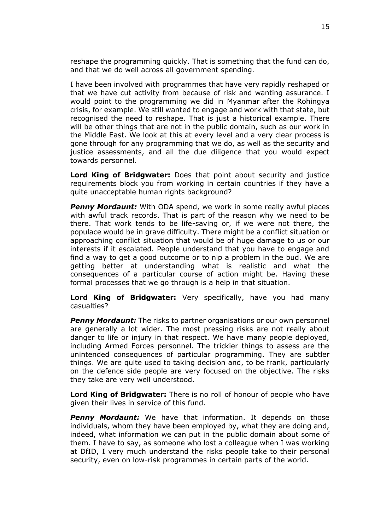reshape the programming quickly. That is something that the fund can do, and that we do well across all government spending.

I have been involved with programmes that have very rapidly reshaped or that we have cut activity from because of risk and wanting assurance. I would point to the programming we did in Myanmar after the Rohingya crisis, for example. We still wanted to engage and work with that state, but recognised the need to reshape. That is just a historical example. There will be other things that are not in the public domain, such as our work in the Middle East. We look at this at every level and a very clear process is gone through for any programming that we do, as well as the security and justice assessments, and all the due diligence that you would expect towards personnel.

**Lord King of Bridgwater:** Does that point about security and justice requirements block you from working in certain countries if they have a quite unacceptable human rights background?

**Penny Mordaunt:** With ODA spend, we work in some really awful places with awful track records. That is part of the reason why we need to be there. That work tends to be life-saving or, if we were not there, the populace would be in grave difficulty. There might be a conflict situation or approaching conflict situation that would be of huge damage to us or our interests if it escalated. People understand that you have to engage and find a way to get a good outcome or to nip a problem in the bud. We are getting better at understanding what is realistic and what the consequences of a particular course of action might be. Having these formal processes that we go through is a help in that situation.

**Lord King of Bridgwater:** Very specifically, have you had many casualties?

**Penny Mordaunt:** The risks to partner organisations or our own personnel are generally a lot wider. The most pressing risks are not really about danger to life or injury in that respect. We have many people deployed, including Armed Forces personnel. The trickier things to assess are the unintended consequences of particular programming. They are subtler things. We are quite used to taking decision and, to be frank, particularly on the defence side people are very focused on the objective. The risks they take are very well understood.

**Lord King of Bridgwater:** There is no roll of honour of people who have given their lives in service of this fund.

*Penny Mordaunt:* We have that information. It depends on those individuals, whom they have been employed by, what they are doing and, indeed, what information we can put in the public domain about some of them. I have to say, as someone who lost a colleague when I was working at DfID, I very much understand the risks people take to their personal security, even on low-risk programmes in certain parts of the world.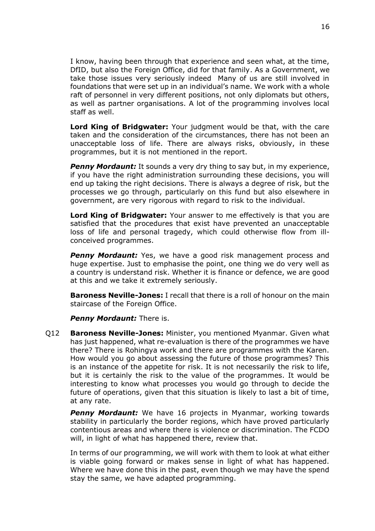I know, having been through that experience and seen what, at the time, DfID, but also the Foreign Office, did for that family. As a Government, we take those issues very seriously indeed Many of us are still involved in foundations that were set up in an individual's name. We work with a whole raft of personnel in very different positions, not only diplomats but others, as well as partner organisations. A lot of the programming involves local staff as well.

**Lord King of Bridgwater:** Your judgment would be that, with the care taken and the consideration of the circumstances, there has not been an unacceptable loss of life. There are always risks, obviously, in these programmes, but it is not mentioned in the report.

**Penny Mordaunt:** It sounds a very dry thing to say but, in my experience, if you have the right administration surrounding these decisions, you will end up taking the right decisions. There is always a degree of risk, but the processes we go through, particularly on this fund but also elsewhere in government, are very rigorous with regard to risk to the individual.

**Lord King of Bridgwater:** Your answer to me effectively is that you are satisfied that the procedures that exist have prevented an unacceptable loss of life and personal tragedy, which could otherwise flow from illconceived programmes.

**Penny Mordaunt:** Yes, we have a good risk management process and huge expertise. Just to emphasise the point, one thing we do very well as a country is understand risk. Whether it is finance or defence, we are good at this and we take it extremely seriously.

**Baroness Neville-Jones:** I recall that there is a roll of honour on the main staircase of the Foreign Office.

*Penny Mordaunt: There is.* 

Q12 **Baroness Neville-Jones:** Minister, you mentioned Myanmar. Given what has just happened, what re-evaluation is there of the programmes we have there? There is Rohingya work and there are programmes with the Karen. How would you go about assessing the future of those programmes? This is an instance of the appetite for risk. It is not necessarily the risk to life, but it is certainly the risk to the value of the programmes. It would be interesting to know what processes you would go through to decide the future of operations, given that this situation is likely to last a bit of time, at any rate.

*Penny Mordaunt:* We have 16 projects in Myanmar, working towards stability in particularly the border regions, which have proved particularly contentious areas and where there is violence or discrimination. The FCDO will, in light of what has happened there, review that.

In terms of our programming, we will work with them to look at what either is viable going forward or makes sense in light of what has happened. Where we have done this in the past, even though we may have the spend stay the same, we have adapted programming.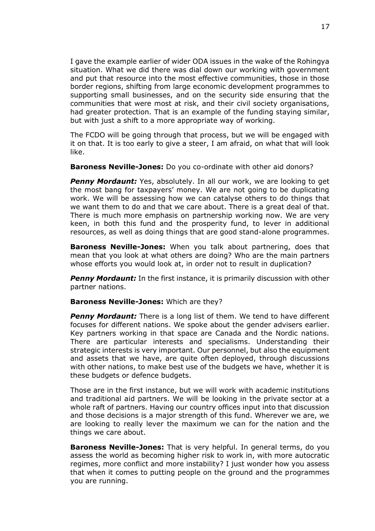I gave the example earlier of wider ODA issues in the wake of the Rohingya situation. What we did there was dial down our working with government and put that resource into the most effective communities, those in those border regions, shifting from large economic development programmes to supporting small businesses, and on the security side ensuring that the communities that were most at risk, and their civil society organisations, had greater protection. That is an example of the funding staying similar, but with just a shift to a more appropriate way of working.

The FCDO will be going through that process, but we will be engaged with it on that. It is too early to give a steer, I am afraid, on what that will look like.

**Baroness Neville-Jones:** Do you co-ordinate with other aid donors?

**Penny Mordaunt:** Yes, absolutely. In all our work, we are looking to get the most bang for taxpayers' money. We are not going to be duplicating work. We will be assessing how we can catalyse others to do things that we want them to do and that we care about. There is a great deal of that. There is much more emphasis on partnership working now. We are very keen, in both this fund and the prosperity fund, to lever in additional resources, as well as doing things that are good stand-alone programmes.

**Baroness Neville-Jones:** When you talk about partnering, does that mean that you look at what others are doing? Who are the main partners whose efforts you would look at, in order not to result in duplication?

**Penny Mordaunt:** In the first instance, it is primarily discussion with other partner nations.

## **Baroness Neville-Jones:** Which are they?

*Penny Mordaunt:* There is a long list of them. We tend to have different focuses for different nations. We spoke about the gender advisers earlier. Key partners working in that space are Canada and the Nordic nations. There are particular interests and specialisms. Understanding their strategic interests is very important. Our personnel, but also the equipment and assets that we have, are quite often deployed, through discussions with other nations, to make best use of the budgets we have, whether it is these budgets or defence budgets.

Those are in the first instance, but we will work with academic institutions and traditional aid partners. We will be looking in the private sector at a whole raft of partners. Having our country offices input into that discussion and those decisions is a major strength of this fund. Wherever we are, we are looking to really lever the maximum we can for the nation and the things we care about.

**Baroness Neville-Jones:** That is very helpful. In general terms, do you assess the world as becoming higher risk to work in, with more autocratic regimes, more conflict and more instability? I just wonder how you assess that when it comes to putting people on the ground and the programmes you are running.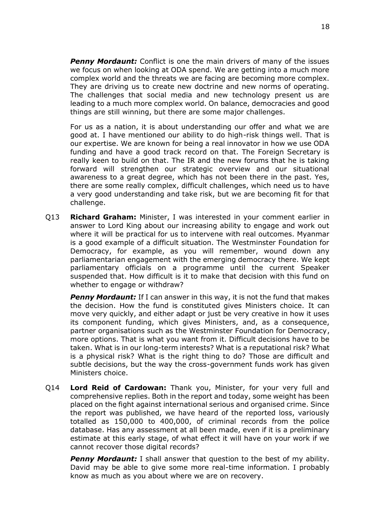**Penny Mordaunt:** Conflict is one the main drivers of many of the issues we focus on when looking at ODA spend. We are getting into a much more complex world and the threats we are facing are becoming more complex. They are driving us to create new doctrine and new norms of operating. The challenges that social media and new technology present us are leading to a much more complex world. On balance, democracies and good things are still winning, but there are some major challenges.

For us as a nation, it is about understanding our offer and what we are good at. I have mentioned our ability to do high-risk things well. That is our expertise. We are known for being a real innovator in how we use ODA funding and have a good track record on that. The Foreign Secretary is really keen to build on that. The IR and the new forums that he is taking forward will strengthen our strategic overview and our situational awareness to a great degree, which has not been there in the past. Yes, there are some really complex, difficult challenges, which need us to have a very good understanding and take risk, but we are becoming fit for that challenge.

Q13 **Richard Graham:** Minister, I was interested in your comment earlier in answer to Lord King about our increasing ability to engage and work out where it will be practical for us to intervene with real outcomes. Myanmar is a good example of a difficult situation. The Westminster Foundation for Democracy, for example, as you will remember, wound down any parliamentarian engagement with the emerging democracy there. We kept parliamentary officials on a programme until the current Speaker suspended that. How difficult is it to make that decision with this fund on whether to engage or withdraw?

**Penny Mordaunt:** If I can answer in this way, it is not the fund that makes the decision. How the fund is constituted gives Ministers choice. It can move very quickly, and either adapt or just be very creative in how it uses its component funding, which gives Ministers, and, as a consequence, partner organisations such as the Westminster Foundation for Democracy, more options. That is what you want from it. Difficult decisions have to be taken. What is in our long-term interests? What is a reputational risk? What is a physical risk? What is the right thing to do? Those are difficult and subtle decisions, but the way the cross-government funds work has given Ministers choice.

Q14 **Lord Reid of Cardowan:** Thank you, Minister, for your very full and comprehensive replies. Both in the report and today, some weight has been placed on the fight against international serious and organised crime. Since the report was published, we have heard of the reported loss, variously totalled as 150,000 to 400,000, of criminal records from the police database. Has any assessment at all been made, even if it is a preliminary estimate at this early stage, of what effect it will have on your work if we cannot recover those digital records?

**Penny Mordaunt:** I shall answer that question to the best of my ability. David may be able to give some more real-time information. I probably know as much as you about where we are on recovery.